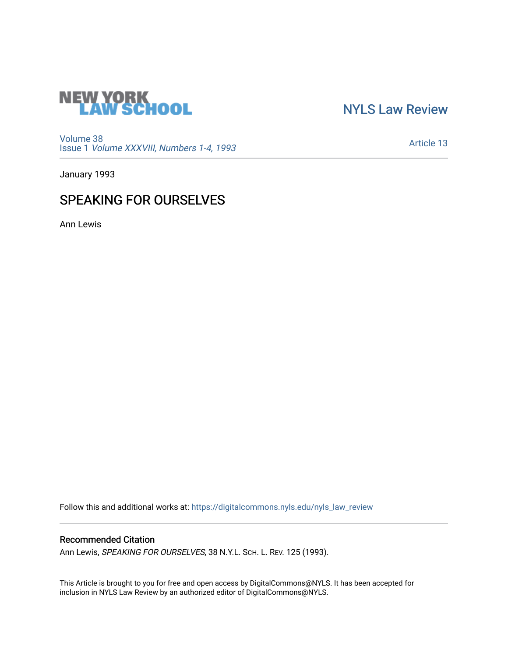

[NYLS Law Review](https://digitalcommons.nyls.edu/nyls_law_review) 

[Volume 38](https://digitalcommons.nyls.edu/nyls_law_review/vol38) Issue 1 [Volume XXXVIII, Numbers 1-4, 1993](https://digitalcommons.nyls.edu/nyls_law_review/vol38/iss1)

[Article 13](https://digitalcommons.nyls.edu/nyls_law_review/vol38/iss1/13) 

January 1993

## SPEAKING FOR OURSELVES

Ann Lewis

Follow this and additional works at: [https://digitalcommons.nyls.edu/nyls\\_law\\_review](https://digitalcommons.nyls.edu/nyls_law_review?utm_source=digitalcommons.nyls.edu%2Fnyls_law_review%2Fvol38%2Fiss1%2F13&utm_medium=PDF&utm_campaign=PDFCoverPages) 

## Recommended Citation

Ann Lewis, SPEAKING FOR OURSELVES, 38 N.Y.L. SCH. L. REV. 125 (1993).

This Article is brought to you for free and open access by DigitalCommons@NYLS. It has been accepted for inclusion in NYLS Law Review by an authorized editor of DigitalCommons@NYLS.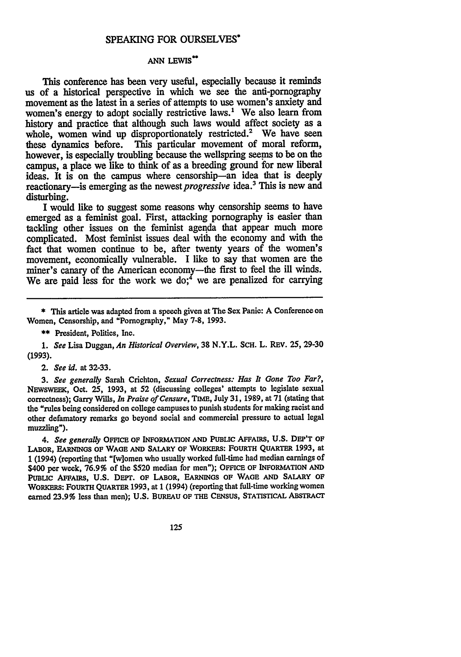## **SPEAKING** FOR **OURSELVES\***

## **ANN LEWIS\*\***

This conference has been very useful, especially because it reminds us of a historical perspective in which we see the anti-pornography movement as the latest in a series of attempts to use women's anxiety and women's energy to adopt socially restrictive laws.' We also learn from history and practice that although such laws would affect society as a whole, women wind up disproportionately restricted.<sup>2</sup> We have seen these dynamics before. This particular movement of moral reform, however, is especially troubling because the wellspring seems to be on the campus, a place we like to think of as a breeding ground for new liberal ideas. It is on the campus where censorship-an idea that is deeply reactionary-is emerging as the *newest progressive* idea.' This is new and disturbing.

I would like to suggest some reasons why censorship seems to have emerged as a feminist goal. First, attacking pornography is easier than tackling other issues on the feminist agenda that appear much more complicated. Most feminist issues deal with the economy and with the fact that women continue to be, after twenty years of the women's movement, economically vulnerable. I like to say that women are the miner's canary of the American economy-the first to feel the ill winds. We are paid less for the work we do;<sup>4</sup> we are penalized for carrying

**1.** *See* Lisa Duggan, *An Historical Overview,* **38** N.Y.L. ScH. L. REV. 25, **29-30 (1993).**

2. *See id.* at **32-33.**

*3. See generally* Sarah Crichton, *Sexual Correctness: Has It Gone Too Far?,* **NEWSWEEK,** Oct. **25, 1993,** at **52** (discussing colleges' attempts to legislate sexual correctness); Garry Wills, *In Praise of Censure,* TIME, July **31, 1989,** at **71** (stating that the "rules being considered on college campuses to punish students for making racist and other defamatory remarks go beyond social and commercial pressure to actual legal muzzling").

*4. See generally* **OFFICE OF INFORMATION AND PUBLiC AFFAIRS, U.S.** DEP'T **OF LABOR, EARNINGS OF WAGE AND SALARY OF** WORKERS: **FOURTH QUARTER 1993,** at **1** (1994) (reporting that "[w]omen who usually worked full-time had median earnings of \$400 per week, **76.9%** of the **\$520** median for men"); **OFFICE OF INFORMATION AND** PuBLIc **AFFAIRS, U.S. DEPT. OF LABOR, EARNINGS OF WAGE AND SALARY OF WORKERS: FOURTH QUARTER 1993,** at **1** (1994) (reporting that full-time working women earned **23.9%** less than men); **U.S.** BUREAU **OF THE CENSUS, STATISTICAL ABSTRACT**

125

**<sup>\*</sup>** This article was adapted from a speech given at The Sex Panic: A Conference on Women, Censorship, and "Pornography," May **7-8, 1993.**

**<sup>\*\*</sup>** President, Politics, Inc.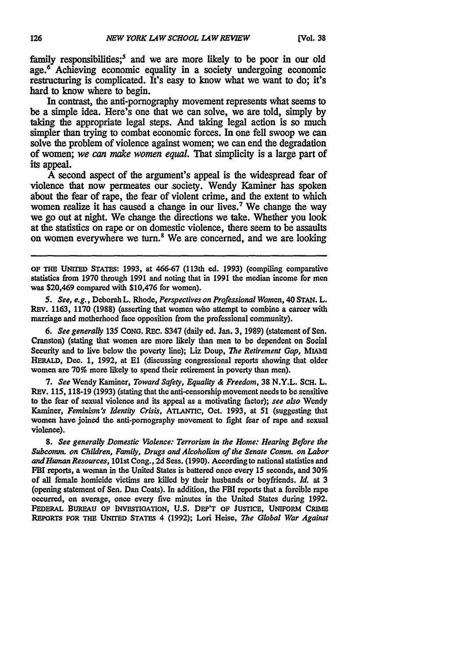family responsibilities;<sup>5</sup> and we are more likely to be poor in our old age.<sup>6</sup> Achieving economic equality in a society undergoing economic restructuring is complicated. It's easy to know what we want to do; it's hard to know where to begin.

In contrast, the anti-pornography movement represents what seems to be a simple idea. Here's one that we can solve, we are told, simply **by** taking the appropriate legal steps. And taking legal action is so much simpler than trying to combat economic forces. In one fell swoop we can solve the problem of violence against women; we can end the degradation of women; *we can make women equal.* That simplicity is a large part of its appeal.

**A** second aspect of the argument's appeal is the widespread fear of violence that now permeates our society. Wendy Kaminer has spoken about the fear of rape, the fear of violent crime, and the extent to which women realize it has caused a change in our lives.<sup>7</sup> We change the way we go out at night. We change the directions we take. Whether you look at the statistics on rape or on domestic violence, there seem to be assaults on women everywhere we turn.<sup>8</sup> We are concerned, and we are looking

**OF THE UNITED STATES: 1993,** at 466-67 (113th **ed. 1993)** (compiling comparative statistics from **1970** through **1991** and noting that in **1991** the median income for men was \$20,469 compared with \$10,476 for women).

*5. See, e.g.,* Deborah L. Rhode, *Perspectives on Professional Women,* 40 **STAN.** L. **REv. 1163, 1170 (1988)** (asserting that women who attempt to combine a career with marriage and motherhood face opposition from the professional community).

*6. See generally* 135 **CONG.** REC. **S347** (daily ed. Jan. **3, 1989)** (statement of Sen. Cranston) (stating that women are more likely than men to be dependent on Social Security and to live below the poverty line); Liz Doup, *The Retirement Gap,* MIAMIf HERALD, **Dec. 1, 1992,** at **El** (discussing congressional reports showing that older women are **70%** more likely to spend their retirement in poverty than men).

**7.** *See* Wendy Kaminer, *Toward Safety, Equality & Freedom,* **38** N.Y.L. ScH. L. **REV. 115, 118-19 (1993)** (stating that the anti-censorship movement needs to be sensitive **to** the fear of sexual violence and its appeal as a motivating factor); *see also* Wendy Kaminer, *Feminism's Identity Crisis,* ATLANTIC, Oct. **1993,** at 51 (suggesting that women have joined the anti-pornography movement **to** fight fear of rape and sexual violence).

*8. See generally Domestic Violence: Terrorism in the Home: Hearing Before the Subcomm. on Children, Family, Drugs and Alcoholism of the Senate Comm. on Labor andHuman Resources,* 101st Cong., **2d** Sess. **(1990).** According to national statistics and FBI reports, a woman in the United States is battered once every **15** seconds, and *30%* of all female homicide victims are killed **by** their husbands or boyfriends. *Id.* at 3 (opening statement of Sen. Dan Coats). In addition, the FBI reports that a forcible rape occurred, on average, once every five minutes in the United States during **1992. FEDERAL** BUREAU **OF INVESTIGATION, U.S.** DEP'T **OF JUSTICE, UNIFORM CRIME REPORTS FOR THE UNITED STATES** 4 **(1992);** Lori Heise, *The Global War Against*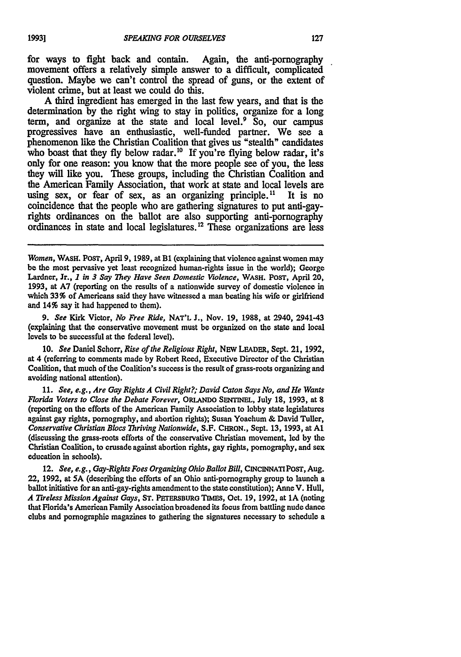for ways to fight back and contain. Again, the anti-pornography movement offers a relatively simple answer to a difficult, complicated question. Maybe we can't control the spread of guns, or the extent of violent crime, but at least we could do this.

**A** third ingredient has emerged in the last few years, and that is the determination **by** the right wing to stay in politics, organize for a long term, and organize at the state and local level. $\frac{9}{5}$  So, our campus progressives have an enthusiastic, well-funded partner. We see a phenomenon like the Christian Coalition that gives us "stealth" candidates who boast that they fly below radar.<sup>10</sup> If you're flying below radar, it's only for one reason: you know that the more people see of you, the less they will like you. These groups, including the Christian Coalition and the American Family Association, that work at state and local levels are using sex, or fear of sex, as an organizing principle. **11** It is no coincidence that the people who are gathering signatures to put anti-gayrights ordinances on the ballot are also supporting anti-pornography ordinances in state and local legislatures.<sup>12</sup> These organizations are less

9. *See* Kirk Victor, *No Free Ride,* **NAT'L** J., Nov. 19, **1988,** at 2940, 2941-43 (explaining that the conservative movement must be organized on the state and local levels **to** be successful at the federal level).

10. *See* Daniel Schorr, *Rise of* the *Religious Right,* NEW LEADER, Sept. 21, 1992, at 4 (referring to comments made **by** Robert Reed, Executive Director of the Christian Coalition, that much of the Coalition's success is the result of grass-roots organizing and avoiding national attention).

11. *See, e.g., Are Gay Rights A Civil Right?; David Caton Says No, and He Wants Florida Voters to Close the Debate Forever,* ORLANDO SENTINEL, July **18,** 1993, at **8** (reporting on the efforts of the American Family Association to lobby state legislatures against gay rights, pornography, and abortion rights); Susan Yoachum **&** David Tuller, *Conservative Christian Blocs Thriving Nationwide,* S.F. CHRON., Sept. 13, 1993, at **Al** (discussing the grass-roots efforts of the conservative Christian movement, led **by** the Christian Coalition, to crusade against abortion rights, gay rights, pornography, and sex education in schools).

12. *See, e.g., Gay-Rights Foes Organizing Ohio Ballot Bill,* **CINCINNATIPoST,** Aug. 22, 1992, at **SA** (describing the efforts of an Ohio anti-pornography group to launch a ballot initiative for an anti-gay-rights amendment to the state constitution); Anne V. Hull, *A Tireless Mission Against Gays,* **ST. PETERSBURG TIMES,** Oct. 19, 1992, at **1A** (noting that Florida's American Family Association broadened its focus from battling nude dance clubs and pornographic magazines to gathering the signatures necessary to schedule a

*Women,* **WAsH.** PosT, April 9, 1989, at B1 (explaining that violence against women may be the most pervasive yet least recognized human-rights issue in the world); George Lardner, Jr., **I** *in 3 Say They Have Seen Domestic Violence,* **WASH. POST,** April 20, **1993,** at **A7** (reporting on the results of a nationwide survey of domestic violence in which **33%** of Americans said they have witnessed a man beating his wife or girlfriend and 14% say it had happened to them).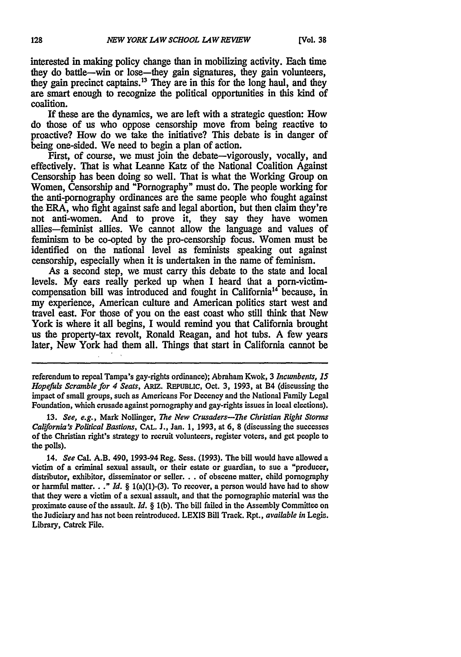interested in making policy change than in mobilizing activity. Each time they do battle-win or lose-they gain signatures, they gain volunteers, they gain precinct captains.13 They are in this for the long haul, and they are smart enough to recognize the political opportunities in this kind of coalition.

If these are the dynamics, we are left with a strategic question: **How** do those of us who oppose censorship move from being reactive to proactive? How do we take the initiative? This debate is in danger of being one-sided. We need to begin a plan of action.

First, of course, we must join the debate—vigorously, vocally, and effectively. That is what Leanne Katz of the National Coalition Against Censorship has been doing so well. That is what the Working Group on Women, Censorship and "Pornography" must do. The people working for the anti-pornography ordinances are the same people who fought against the ERA, who fight against safe and legal abortion, but then claim they're not anti-women. And to prove it, they say they have women allies-feminist allies. We cannot allow the language and values of feminism to be co-opted by the pro-censorship focus. Women must be identified on the national level as feminists speaking out against censorship, especially when it is undertaken in the name of feminism.

As a second step, we must carry this debate to the state and local levels. My ears really perked up when I heard that a porn-victimcompensation bill was introduced and fought in California14 because, in my experience, American culture and American politics start west and travel east. For those of you on the east coast who still think that New York is where it all begins, I would remind you that California brought us the property-tax revolt, Ronald Reagan, and hot tubs. A few years later, New York had them all. Things that start in California cannot be

referendum to repeal Tampa's gay-rights ordinance); Abraham Kwok, 3 *Incumbents, 15 Hopefuls Scramble for 4 Seats,* ARIZ. **REPUBLIC,** Oct. 3, 1993, at B4 (discussing the impact of small groups, such as Americans For Decency and the National Family Legal Foundation, which crusade against pornography and gay-rights issues in local elections).

13. *See, e.g.,* Mark Nollinger, *The New Crusaders-The Christian Right Storms California's Political Bastions,* **CAL. J.,** Jan. 1, **1993,** at **6,** 8 (discussing the successes of the Christian right's strategy to recruit volunteers, register voters, and get people to the polls).

14. *See* Cal. A.B. 490, 1993-94 Reg. Sess. (1993). The bill would have allowed a victim of a criminal sexual assault, or their estate or guardian, to sue a "producer, distributor, exhibitor, disseminator or seller. . . of obscene matter, child pornography or harmful matter. **.** *." Id.* § l(a)(1)-(3). To recover, a person would have had to show that they were a victim of a sexual assault, and that the pornographic material was the proximate cause of the assault. *Id. §* l(b). The bill failed in the Assembly Committee on the Judiciary and has not been reintroduced. LEXIS Bill Track. Rpt., *available in* Legis. Library, Catrek File.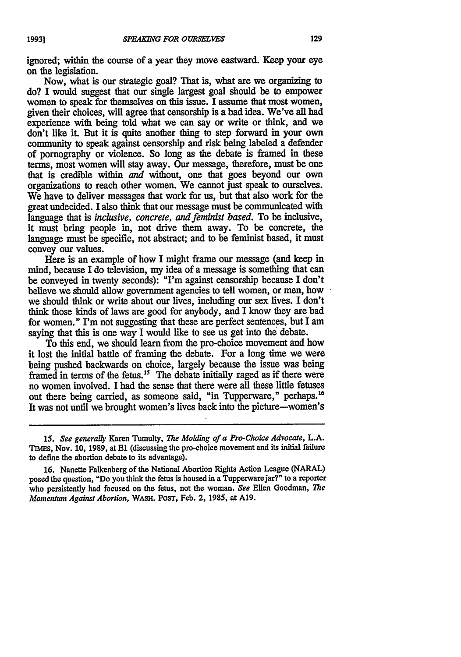ignored; within the course of a year they move eastward. Keep your eye on the legislation.

Now, what is our strategic goal? That is, what are we organizing to do? I would suggest that our single largest goal should be to empower women to speak for themselves on this issue. I assume that most women, given their choices, will agree that censorship is a bad idea. We've all had experience with being told what we can say or write or think, and we don't like it. But it is quite another thing to step forward in your own community to speak against censorship and risk being labeled a defender of pornography or violence. So long as the debate is framed in these terms, most women will stay away. Our message, therefore, must be one that is credible within *and* without, one that goes beyond our own organizations to reach other women. We cannot just speak to ourselves. We have to deliver messages that work for us, but that also work for the great undecided. I also think that our message must be communicated with language that is *inclusive, concrete, and feminist based.* To be inclusive, it must bring people in, not drive them away. To be concrete, the language must be specific, not abstract; and to be feminist based, it must convey our values.

Here is an example of how I might frame our message (and keep in mind, because I do television, my idea of a message is something that can be conveyed in twenty seconds): "I'm against censorship because I don't believe we should allow government agencies to tell women, or men, how we should think or write about our lives, including our sex lives. I don't think those kinds of laws are good for anybody, and I know they are bad for women." I'm not suggesting that these are perfect sentences, but I am saying that this is one way I would like to see us get into the debate.

To this end, we should learn from the pro-choice movement and how it lost the initial battle of framing the debate. For a long time we were being pushed backwards on choice, largely because the issue was being framed in terms of the fetus.<sup>15</sup> The debate initially raged as if there were no women involved. I had the sense that there were all these little fetuses out there being carried, as someone said, "in Tupperware," perhaps.<sup>16</sup> It was not until we brought women's lives back into the picture-women's

*<sup>15.</sup> See generally* Karen Tumulty, *The Molding of a Pro-Choice Advocate,* L.A. **TIhEs,** Nov. 10, 1989, at **El** (discussing the pro-choice movement and its initial failure to define the abortion debate to its advantage).

<sup>16.</sup> Nanette Falkenberg of the National Abortion Rights Action League (NARAL) posed the question, "Do you think the fetus is housed in a Tupperwarejar?" to a reporter who persistently had focused on the fetus, not the woman. *See* Ellen Goodman, *The Momentum Against Abortion,* **WASH.** PosT, Feb. 2, 1985, at A19.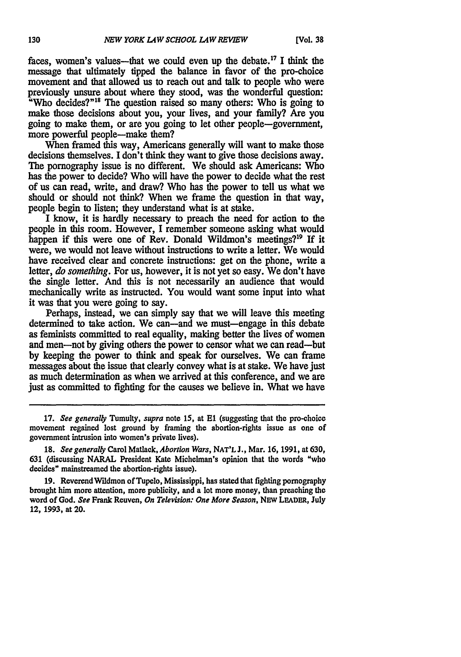faces, women's values—that we could even up the debate.<sup>17</sup> I think the message that ultimately tipped the balance in favor of the pro-choice movement and that allowed us to reach out and talk to people who were previously unsure about where they stood, was the wonderful question: "Who decides?"<sup>18</sup> The question raised so many others: Who is going to make those decisions about you, your lives, and your **family?** Are you going to make them, or are you going to let other people-government, more powerful people—make them?

When framed this way, Americans generally will want to make those decisions themselves. I don't think they want to give those decisions away. The pornography issue is no different. We should ask Americans: Who has the power to decide? Who will have the power to decide what the rest of us can read, write, and draw? Who has the power to tell us what we should or should not **think?** When we frame the question in that way, people begin to listen; they understand what is at stake.

I know, it is hardly necessary to preach the need for action to the people in this room. However, I remember someone asking what would happen if this were one of Rev. Donald Wildmon's meetings?19 **If** it were, we would not leave without instructions to write a letter. We would have received clear and concrete instructions: get on the phone, write a letter, *do something.* For us, however, it is not yet so easy. We don't have the single letter. And this is not necessarily an audience that would mechanically write as instructed. You would want some input into what it was that you were going to say.

Perhaps, instead, we can simply say that we will leave this meeting determined to take action. We can-and we must-engage in this debate as feminists committed to real equality, making better the lives of women and men-not **by** giving others the power to censor what we can read-but **by** keeping the power to think and speak for ourselves. We can frame messages about the issue that clearly convey what is at stake. We have just as much determination as when we arrived at this conference, and we are just as committed to fighting for the causes we believe in. What we have

**19.** ReverendWildmon of Tupelo, Mississippi, has stated that fighting pornography brought him more attention, more publicity, and a lot more money, than preaching the word of God. *See* Frank Reuven, *On Television: One More Season,* **NEW** LEADER, **July** 12, **1993,** at 20.

**<sup>17.</sup>** *See generally* Tumulty, *supra* note **15,** at **El** (suggesting that the pro-choice movement regained lost ground **by** framing the abortion-rights issue as one of government intrusion into women's private lives).

**<sup>18.</sup>** *See generally* Carol Matlack, *Aborfion Wars,* **NAT'L J.,** Mar. **16, 1991,** at **630, 631** (discussing NARAL President Kate Michelman's opinion that the words "who decides" mainstreamed the abortion-rights issue).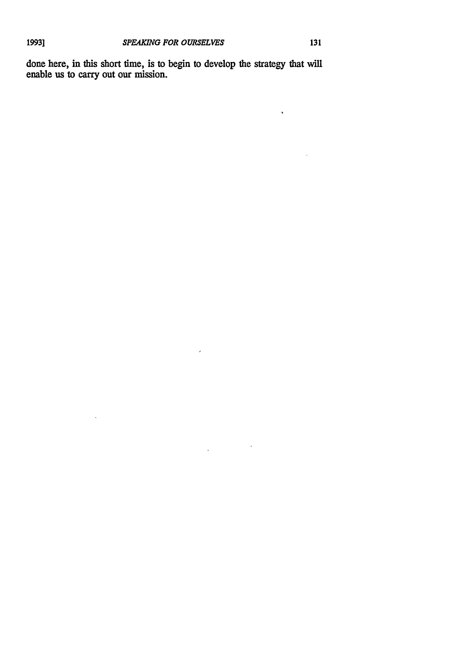$\mathcal{L}$ 

 $\bar{z}$ 

 $\hat{\mathbf{v}}$ 

done here, in this short time, is to begin to develop the strategy that **will** enable us to carry out our mission.

 $\overline{\phantom{a}}$ 

 $\label{eq:2.1} \frac{1}{\sqrt{2\pi}}\int_{\mathbb{R}^{2}}\left|\frac{d\mathbf{x}}{d\mathbf{x}}\right|^{2}d\mathbf{x}^{2}d\mathbf{x}^{2}d\mathbf{x}^{2}d\mathbf{x}^{2}d\mathbf{x}^{2}d\mathbf{x}^{2}d\mathbf{x}^{2}d\mathbf{x}^{2}d\mathbf{x}^{2}d\mathbf{x}^{2}d\mathbf{x}^{2}d\mathbf{x}^{2}d\mathbf{x}^{2}d\mathbf{x}^{2}d\mathbf{x}^{2}d\mathbf{x}^{2}d\mathbf{x}^{2}d\mathbf{x}^{2}d$